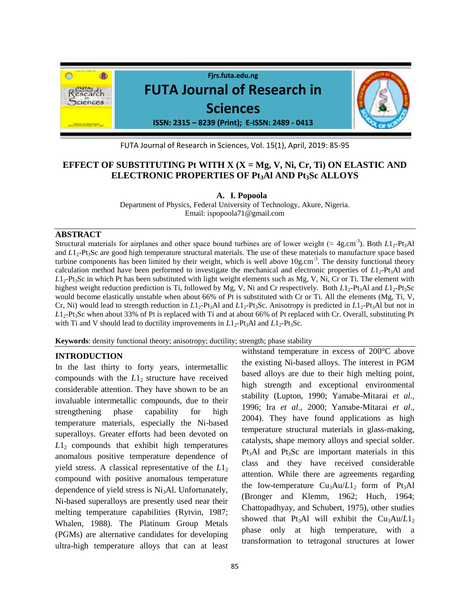

FUTA Journal of Research in Sciences, Vol. 15(1), April, 2019: 85-95

# **EFFECT OF SUBSTITUTING Pt WITH X (X = Mg, V, Ni, Cr, Ti) ON ELASTIC AND ELECTRONIC PROPERTIES OF Pt3Al AND Pt3Sc ALLOYS**

**A. I. Popoola**

Department of Physics, Federal University of Technology, Akure, Nigeria. Email: ispopoola71@gmail.com

## **ABSTRACT**

Structural materials for airplanes and other space bound turbines are of lower weight ( $\approx 4$ g.cm<sup>-3</sup>). Both  $L1_2$ -Pt<sub>3</sub>Al and *L*1<sub>2</sub>-Pt<sub>3</sub>Sc are good high temperature structural materials. The use of these materials to manufacture space based turbine components has been limited by their weight, which is well above  $10g.cm^{-3}$ . The density functional theory calculation method have been performed to investigate the mechanical and electronic properties of *L*1<sub>2</sub>-Pt<sub>3</sub>Al and *L*12-Pt3Sc in which Pt has been substituted with light weight elements such as Mg, V, Ni, Cr or Ti. The element with highest weight reduction prediction is Ti, followed by Mg, V, Ni and Cr respectively. Both  $L1_2$ -Pt<sub>3</sub>Al and  $L1_2$ -Pt<sub>3</sub>Sc would become elastically unstable when about 66% of Pt is substituted with Cr or Ti. All the elements (Mg, Ti, V, Cr, Ni) would lead to strength reduction in  $L1_2$ -Pt<sub>3</sub>Al and  $L1_2$ -Pt<sub>3</sub>Sc. Anisotropy is predicted in  $L1_2$ -Pt<sub>3</sub>Al but not in *L*12-Pt3Sc when about 33% of Pt is replaced with Ti and at about 66% of Pt replaced with Cr. Overall, substituting Pt with Ti and V should lead to ductility improvements in  $L1_2$ -Pt<sub>3</sub>Al and  $L1_2$ -Pt<sub>3</sub>Sc.

**Keywords**: density functional theory; anisotropy; ductility; strength; phase stability

### **INTRODUCTION**

In the last thirty to forty years, intermetallic compounds with the  $L1<sub>2</sub>$  structure have received considerable attention. They have shown to be an invaluable intermetallic compounds, due to their strengthening phase capability for high temperature materials, especially the Ni-based superalloys. Greater efforts had been devoted on  $L_1$ <sup>2</sup> compounds that exhibit high temperatures anomalous positive temperature dependence of yield stress. A classical representative of the  $L1<sub>2</sub>$ compound with positive anomalous temperature dependence of yield stress is Ni<sub>3</sub>Al. Unfortunately, Ni-based superalloys are presently used near their melting temperature capabilities (Rytvin, 1987; Whalen, 1988). The Platinum Group Metals (PGMs) are alternative candidates for developing ultra-high temperature alloys that can at least

withstand temperature in excess of 200°C above the existing Ni-based alloys. The interest in PGM based alloys are due to their high melting point, high strength and exceptional environmental stability (Lupton, 1990; Yamabe-Mitarai *et al.,* 1996; Ira *et al.,* 2000; Yamabe-Mitarai *et al.,* 2004). They have found applications as high temperature structural materials in glass-making, catalysts, shape memory alloys and special solder.  $Pt<sub>3</sub>Al$  and  $Pt<sub>3</sub>Sc$  are important materials in this class and they have received considerable attention. While there are agreements regarding the low-temperature Cu<sub>3</sub>Au/*L*1<sub>2</sub> form of Pt<sub>3</sub>Al (Bronger and Klemm, 1962; Huch, 1964; Chattopadhyay, and Schubert, 1975), other studies showed that Pt<sub>3</sub>Al will exhibit the  $Cu<sub>3</sub>Au/L1<sub>2</sub>$ phase only at high temperature, with a transformation to tetragonal structures at lower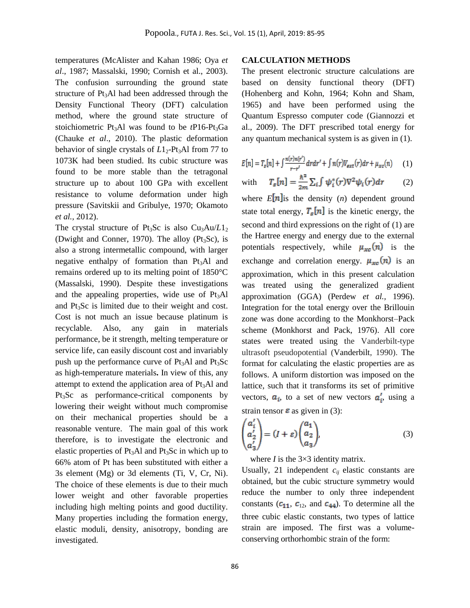temperatures (McAlister and Kahan 1986; Oya *et al*., 1987; Massalski, 1990; Cornish et al., 2003). The confusion surrounding the ground state structure of Pt<sub>3</sub>Al had been addressed through the Density Functional Theory (DFT) calculation method, where the ground state structure of stoichiometric Pt<sub>3</sub>Al was found to be *t*P16-Pt<sub>3</sub>Ga (Chauke *et al*., 2010). The plastic deformation behavior of single crystals of  $L1_2$ -Pt<sub>3</sub>Al from 77 to 1073K had been studied. Its cubic structure was found to be more stable than the tetragonal structure up to about 100 GPa with excellent resistance to volume deformation under high pressure (Savitskii and Gribulye, 1970; Okamoto *et al.,* 2012).

The crystal structure of Pt<sub>3</sub>Sc is also  $Cu<sub>3</sub>Au/L1<sub>2</sub>$ (Dwight and Conner, 1970). The alloy ( $Pt<sub>3</sub>Sc$ ), is also a strong intermetallic compound, with larger negative enthalpy of formation than  $Pt<sub>3</sub>Al$  and remains ordered up to its melting point of 1850°C (Massalski, 1990). Despite these investigations and the appealing properties, wide use of  $Pt<sub>3</sub>Al$ and  $Pt<sub>3</sub>Sc$  is limited due to their weight and cost. Cost is not much an issue because platinum is recyclable. Also, any gain in materials performance, be it strength, melting temperature or service life, can easily discount cost and invariably push up the performance curve of  $Pt_3Al$  and  $Pt_3Sc$ as high-temperature materials**.** In view of this, any attempt to extend the application area of  $Pt<sub>3</sub>Al$  and Pt<sub>3</sub>Sc as performance-critical components by lowering their weight without much compromise on their mechanical properties should be a reasonable venture. The main goal of this work therefore, is to investigate the electronic and elastic properties of  $Pt<sub>3</sub>Al$  and  $Pt<sub>3</sub>Sc$  in which up to 66% atom of Pt has been substituted with either a 3s element (Mg) or 3d elements (Ti, V, Cr, Ni). The choice of these elements is due to their much lower weight and other favorable properties including high melting points and good ductility. Many properties including the formation energy, elastic moduli, density, anisotropy, bonding are investigated.

#### **CALCULATION METHODS**

The present electronic structure calculations are based on density functional theory (DFT) (Hohenberg and Kohn, 1964; Kohn and Sham, 1965) and have been performed using the Quantum Espresso computer code (Giannozzi et al., 2009). The DFT prescribed total energy for any quantum mechanical system is as given in (1).

$$
E[n] = T_s[n] + \int \frac{n(r)n(r')}{r-r'} dr dr' + \int n(r)V_{ext}(r) dr + \mu_{xc}(n) \tag{1}
$$

with 
$$
T_s[n] = \frac{\hbar^2}{2m} \sum_i \int \psi_i^*(r) \nabla^2 \psi_i(r) dr \qquad (2)
$$

where  $E[n]$  is the density (*n*) dependent ground state total energy,  $T_s[n]$  is the kinetic energy, the second and third expressions on the right of (1) are the Hartree energy and energy due to the external potentials respectively, while  $\mu_{xc}(n)$  is the exchange and correlation energy.  $\mu_{xc}(n)$  is an approximation, which in this present calculation was treated using the generalized gradient approximation (GGA) (Perdew *et al.,* 1996). Integration for the total energy over the Brillouin zone was done according to the Monkhorst–Pack scheme (Monkhorst and Pack, 1976). All core states were treated using the Vanderbilt-type ultrasoft pseudopotential (Vanderbilt, 1990). The format for calculating the elastic properties are as follows. A uniform distortion was imposed on the lattice, such that it transforms its set of primitive vectors,  $a_i$ , to a set of new vectors  $a'_i$ , using a strain tensor  $\varepsilon$  as given in (3):

$$
\begin{pmatrix} a'_i \\ a'_2 \\ a'_3 \end{pmatrix} = (I + \varepsilon) \begin{pmatrix} a_1 \\ a_2 \\ a_3 \end{pmatrix}
$$
 (3)

where  $I$  is the  $3\times3$  identity matrix.

Usually, 21 independent  $c_{ij}$  elastic constants are obtained, but the cubic structure symmetry would reduce the number to only three independent constants  $(c_{11}, c_{12}, \text{ and } c_{44})$ . To determine all the three cubic elastic constants, two types of lattice strain are imposed. The first was a volumeconserving orthorhombic strain of the form: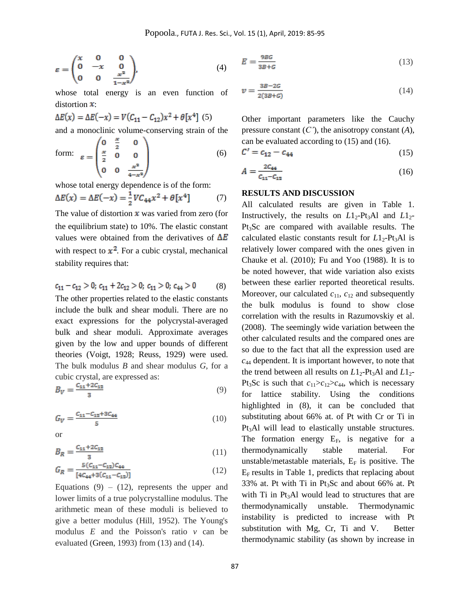$$
\varepsilon = \begin{pmatrix} x & 0 & 0 \\ 0 & -x & 0 \\ 0 & 0 & \frac{x^2}{1-x^2} \end{pmatrix},
$$
 (4)

whose total energy is an even function of distortion  $\mathbf{x}$ :

$$
\Delta E(x) = \Delta E(-x) = V(C_{11} - C_{12})x^2 + \theta[x^4]
$$
 (5)  
and a monoclinic volume-conserving strain of i

and a monoclinic volume-conserving strain of the

form: 
$$
\varepsilon = \begin{pmatrix} 0 & \frac{1}{2} & 0 \\ \frac{x}{2} & 0 & 0 \\ 0 & 0 & \frac{x^2}{4-x^2} \end{pmatrix}
$$
 (6)

whose total energy dependence is of the form:

$$
\Delta E(x) = \Delta E(-x) = \frac{1}{2} V C_{44} x^2 + \theta [x^4]
$$
 (7)

The value of distortion  $x$  was varied from zero (for the equilibrium state) to 10%. The elastic constant values were obtained from the derivatives of  $\Delta E$ with respect to  $x^2$ . For a cubic crystal, mechanical stability requires that:

$$
c_{11} - c_{12} > 0; c_{11} + 2c_{12} > 0; c_{11} > 0; c_{44} > 0
$$
 (8)

The other properties related to the elastic constants include the bulk and shear moduli. There are no exact expressions for the polycrystal-averaged bulk and shear moduli. Approximate averages given by the low and upper bounds of different theories (Voigt, 1928; Reuss, 1929) were used. The bulk modulus *B* and shear modulus *G*, for a cubic crystal, are expressed as:

$$
B_V = \frac{c_{11} + 2c_{12}}{3} \tag{9}
$$

$$
G_V = \frac{C_{11} - C_{12} + 3C_{44}}{5} \tag{10}
$$

or

$$
B_R = \frac{c_{11} + 2c_{12}}{3} \tag{11}
$$

$$
G_R = \frac{5(c_{44} - c_{42})c_{44}}{[4c_{44} + 3(c_{44} - c_{42})]}
$$
(12)

Equations  $(9) - (12)$ , represents the upper and lower limits of a true polycrystalline modulus. The arithmetic mean of these moduli is believed to give a better modulus (Hill, 1952). The Young's modulus *E* and the Poisson's ratio *v* can be evaluated (Green, 1993) from (13) and (14).

$$
E = \frac{9BG}{3B + G} \tag{13}
$$

$$
v = \frac{3B - 2G}{2(3B + G)}\tag{14}
$$

Other important parameters like the Cauchy pressure constant (*C'*), the anisotropy constant (*A*), can be evaluated according to (15) and (16).

$$
C' = c_{12} - c_{44} \tag{15}
$$

$$
A = \frac{2C_{44}}{C_{11} - C_{12}}\tag{16}
$$

### **RESULTS AND DISCUSSION**

All calculated results are given in Table 1. Instructively, the results on  $L1_2$ -Pt<sub>3</sub>Al and  $L1_2$ -Pt<sub>3</sub>Sc are compared with available results. The calculated elastic constants result for  $L1_2$ -Pt<sub>3</sub>Al is relatively lower compared with the ones given in Chauke et al. (2010); Fu and Yoo (1988). It is to be noted however, that wide variation also exists between these earlier reported theoretical results. Moreover, our calculated  $c_{11}$ ,  $c_{12}$  and subsequently the bulk modulus is found to show close correlation with the results in Razumovskiy et al. (2008). The seemingly wide variation between the other calculated results and the compared ones are so due to the fact that all the expression used are *c*<sup>44</sup> dependent. It is important however, to note that the trend between all results on  $L_1^2$ -Pt<sub>3</sub>Al and  $L_1^2$ -Pt<sub>3</sub>Sc is such that  $c_{11} > c_{12} > c_{44}$ , which is necessary for lattice stability. Using the conditions highlighted in (8), it can be concluded that substituting about 66% at. of Pt with Cr or Ti in Pt<sub>3</sub>Al will lead to elastically unstable structures. The formation energy  $E_F$ , is negative for a thermodynamically stable material. For unstable/metastable materials,  $E_F$  is positive. The  $E_F$  results in Table 1, predicts that replacing about 33% at. Pt with Ti in Pt<sub>3</sub>Sc and about  $66\%$  at. Pt with Ti in  $Pt<sub>3</sub>Al$  would lead to structures that are thermodynamically unstable. Thermodynamic instability is predicted to increase with Pt substitution with Mg, Cr, Ti and V. Better thermodynamic stability (as shown by increase in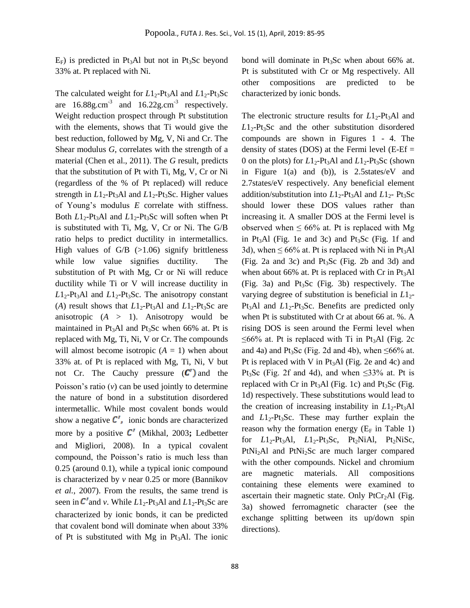$E_F$ ) is predicted in Pt<sub>3</sub>Al but not in Pt<sub>3</sub>Sc beyond 33% at. Pt replaced with Ni.

The calculated weight for  $L1_2$ -Pt<sub>3</sub>Al and  $L1_2$ -Pt<sub>3</sub>Sc are  $16.88$ g.cm<sup>-3</sup> and  $16.22$ g.cm<sup>-3</sup> respectively. Weight reduction prospect through Pt substitution with the elements, shows that Ti would give the best reduction, followed by Mg, V, Ni and Cr. The Shear modulus *G*, correlates with the strength of a material (Chen et al., 2011). The *G* result, predicts that the substitution of Pt with Ti, Mg, V, Cr or Ni (regardless of the % of Pt replaced) will reduce strength in  $L1_2$ -Pt<sub>3</sub>Al and  $L1_2$ -Pt<sub>3</sub>Sc. Higher values of Young's modulus *E* correlate with stiffness. Both  $L_1$ <sub>2</sub>-Pt<sub>3</sub>Al and  $L_1$ <sub>2</sub>-Pt<sub>3</sub>Sc will soften when Pt is substituted with Ti, Mg, V, Cr or Ni. The G/B ratio helps to predict ductility in intermetallics. High values of  $G/B$  ( $>1.06$ ) signify brittleness while low value signifies ductility. The substitution of Pt with Mg, Cr or Ni will reduce ductility while Ti or V will increase ductility in  $L_1$ <sup>2</sup>-Pt<sub>3</sub>Al and  $L_1$ <sup>2</sup>-Pt<sub>3</sub>Sc. The anisotropy constant (*A*) result shows that  $L1_2$ -Pt<sub>3</sub>Al and  $L1_2$ -Pt<sub>3</sub>Sc are anisotropic  $(A > 1)$ . Anisotropy would be maintained in Pt<sub>3</sub>Al and Pt<sub>3</sub>Sc when 66% at. Pt is replaced with Mg, Ti, Ni, V or Cr. The compounds will almost become isotropic  $(A = 1)$  when about 33% at. of Pt is replaced with Mg, Ti, Ni, V but not Cr. The Cauchy pressure  $(C')$  and the Poisson's ratio  $(v)$  can be used jointly to determine the nature of bond in a substitution disordered intermetallic. While most covalent bonds would show a negative  $\mathcal{C}'$ , ionic bonds are characterized more by a positive C' (Mikhal, 2003; Ledbetter and Migliori, 2008). In a typical covalent compound, the Poisson's ratio is much less than 0.25 (around 0.1), while a typical ionic compound is characterized by *v* near 0.25 or more (Bannikov *et al.*, 2007). From the results, the same trend is seen in  $C'$  and *v*. While  $L1_2$ -Pt<sub>3</sub>Al and  $L1_2$ -Pt<sub>3</sub>Sc are characterized by ionic bonds, it can be predicted that covalent bond will dominate when about 33% of Pt is substituted with Mg in Pt<sub>3</sub>Al. The ionic

bond will dominate in  $Pt<sub>3</sub>Sc$  when about 66% at. Pt is substituted with Cr or Mg respectively. All other compositions are predicted to be characterized by ionic bonds.

The electronic structure results for L1<sub>2</sub>-Pt<sub>3</sub>Al and  $L_1^2$ -Pt<sub>3</sub>Sc and the other substitution disordered compounds are shown in Figures 1 - 4. The density of states (DOS) at the Fermi level (E-Ef  $=$ 0 on the plots) for  $L1_2$ -Pt<sub>3</sub>Al and  $L1_2$ -Pt<sub>3</sub>Sc (shown in Figure 1(a) and (b)), is 2.5states/eV and 2.7states/eV respectively. Any beneficial element addition/substitution into  $L1_2$ -Pt<sub>3</sub>Al and  $L1_2$ -Pt<sub>3</sub>Sc should lower these DOS values rather than increasing it. A smaller DOS at the Fermi level is observed when  $\leq 66\%$  at. Pt is replaced with Mg in Pt<sub>3</sub>Al (Fig. 1e and 3c) and Pt<sub>3</sub>Sc (Fig. 1f and 3d), when  $\leq 66\%$  at. Pt is replaced with Ni in Pt<sub>3</sub>Al (Fig. 2a and 3c) and  $Pt<sub>3</sub>Sc$  (Fig. 2b and 3d) and when about 66% at. Pt is replaced with Cr in  $Pt<sub>3</sub>Al$  $(Fig. 3a)$  and  $Pt<sub>3</sub>Sc$   $(Fig. 3b)$  respectively. The varying degree of substitution is beneficial in  $L_1$ <sup>2</sup>-Pt<sub>3</sub>Al and  $L1_2$ -Pt<sub>3</sub>Sc. Benefits are predicted only when Pt is substituted with Cr at about 66 at. %. A rising DOS is seen around the Fermi level when  $\leq 66\%$  at. Pt is replaced with Ti in Pt<sub>3</sub>Al (Fig. 2c) and 4a) and Pt<sub>3</sub>Sc (Fig. 2d and 4b), when  $\leq 66\%$  at. Pt is replaced with V in  $Pt_3Al$  (Fig. 2e and 4c) and Pt<sub>3</sub>Sc (Fig. 2f and 4d), and when  $\leq$ 33% at. Pt is replaced with Cr in Pt<sub>3</sub>Al (Fig. 1c) and Pt<sub>3</sub>Sc (Fig. 1d) respectively. These substitutions would lead to the creation of increasing instability in  $L_1^2$ -Pt<sub>3</sub>Al and *L*1<sub>2</sub>-Pt<sub>3</sub>Sc. These may further explain the reason why the formation energy  $(E_F \text{ in Table 1})$ for  $L_1$ <sup>-</sup>Pt<sub>3</sub>Al,  $L_1$ <sup>-</sup>Pt<sub>3</sub>Sc, Pt<sub>2</sub>NiAl, Pt<sub>2</sub>NiSc, PtNi<sub>2</sub>Al and PtNi<sub>2</sub>Sc are much larger compared with the other compounds. Nickel and chromium are magnetic materials. All compositions containing these elements were examined to ascertain their magnetic state. Only PtCr<sub>2</sub>Al (Fig. 3a) showed ferromagnetic character (see the exchange splitting between its up/down spin directions).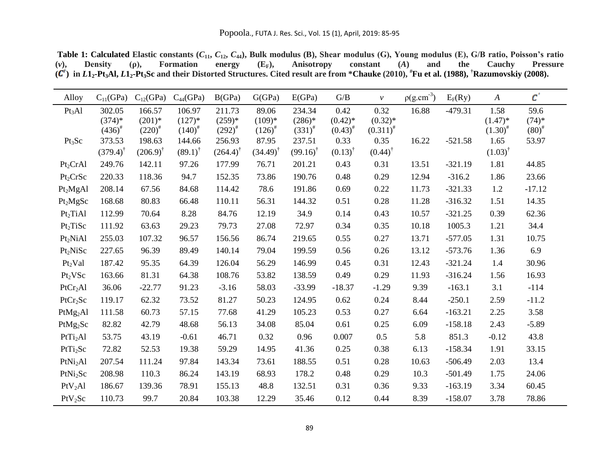| Alloy                | $C_{11}(GPa)$        | $C_{12}(GPa)$       | $C_{44}$ (GPa)     | B(GPa)              | G(GPa)                 | E(GPa)              | G/B                | $\mathcal{V}$      | $p(g.cm^{-3})$ | $E_F(Ry)$ | $\boldsymbol{A}$   | $c^\prime$  |
|----------------------|----------------------|---------------------|--------------------|---------------------|------------------------|---------------------|--------------------|--------------------|----------------|-----------|--------------------|-------------|
| Pt <sub>3</sub> Al   | 302.05               | 166.57              | 106.97             | 211.73              | 89.06                  | 234.34              | 0.42               | 0.32               | 16.88          | $-479.31$ | 1.58               | 59.6        |
|                      | $(374)*$             | $(201)*$            | $(127)*$           | $(259)*$            | $(109)*$               | $(286)*$            | $(0.42)$ *         | $(0.32)$ *         |                |           | $(1.47)$ *         | $(74)*$     |
|                      | $(436)$ <sup>#</sup> | $(220)^{4}$         | $(140)^{#}$        | $(292)^{4}$         | $(126)^{4}$            | $(331)^{#}$         | $(0.43)^{4}$       | $(0.311)^{#}$      |                |           | $(1.30)^{4}$       | $(80)^{\#}$ |
| $Pt_3Sc$             | 373.53               | 198.63              | 144.66             | 256.93              | 87.95                  | 237.51              | 0.33               | 0.35               | 16.22          | $-521.58$ | 1.65               | 53.97       |
|                      | $(379.4)^{\dagger}$  | $(206.9)^{\dagger}$ | $(89.1)^{\dagger}$ | $(264.4)^{\dagger}$ | $(34.49)$ <sup>†</sup> | $(99.16)^{\dagger}$ | $(0.13)^{\dagger}$ | $(0.44)^{\dagger}$ |                |           | $(1.03)^{\dagger}$ |             |
| $Pt_2CrAl$           | 249.76               | 142.11              | 97.26              | 177.99              | 76.71                  | 201.21              | 0.43               | 0.31               | 13.51          | $-321.19$ | 1.81               | 44.85       |
| Pt <sub>2</sub> CrSc | 220.33               | 118.36              | 94.7               | 152.35              | 73.86                  | 190.76              | 0.48               | 0.29               | 12.94          | $-316.2$  | 1.86               | 23.66       |
| Pt <sub>2</sub> MgAl | 208.14               | 67.56               | 84.68              | 114.42              | 78.6                   | 191.86              | 0.69               | 0.22               | 11.73          | $-321.33$ | 1.2                | $-17.12$    |
| Pt <sub>2</sub> MgSc | 168.68               | 80.83               | 66.48              | 110.11              | 56.31                  | 144.32              | 0.51               | 0.28               | 11.28          | $-316.32$ | 1.51               | 14.35       |
| Pt <sub>2</sub> TiAl | 112.99               | 70.64               | 8.28               | 84.76               | 12.19                  | 34.9                | 0.14               | 0.43               | 10.57          | $-321.25$ | 0.39               | 62.36       |
| Pt <sub>2</sub> TiSc | 111.92               | 63.63               | 29.23              | 79.73               | 27.08                  | 72.97               | 0.34               | 0.35               | 10.18          | 1005.3    | 1.21               | 34.4        |
| Pt <sub>2</sub> NiAl | 255.03               | 107.32              | 96.57              | 156.56              | 86.74                  | 219.65              | 0.55               | 0.27               | 13.71          | $-577.05$ | 1.31               | 10.75       |
| Pt <sub>2</sub> NiSc | 227.65               | 96.39               | 89.49              | 140.14              | 79.04                  | 199.59              | 0.56               | 0.26               | 13.12          | $-573.76$ | 1.36               | 6.9         |
| Pt <sub>2</sub> Val  | 187.42               | 95.35               | 64.39              | 126.04              | 56.29                  | 146.99              | 0.45               | 0.31               | 12.43          | $-321.24$ | 1.4                | 30.96       |
| Pt <sub>2</sub> VSc  | 163.66               | 81.31               | 64.38              | 108.76              | 53.82                  | 138.59              | 0.49               | 0.29               | 11.93          | $-316.24$ | 1.56               | 16.93       |
| PtCr <sub>2</sub> Al | 36.06                | $-22.77$            | 91.23              | $-3.16$             | 58.03                  | $-33.99$            | $-18.37$           | $-1.29$            | 9.39           | $-163.1$  | 3.1                | $-114$      |
| PtCr <sub>2</sub> Sc | 119.17               | 62.32               | 73.52              | 81.27               | 50.23                  | 124.95              | 0.62               | 0.24               | 8.44           | $-250.1$  | 2.59               | $-11.2$     |
| PtMg <sub>2</sub> Al | 111.58               | 60.73               | 57.15              | 77.68               | 41.29                  | 105.23              | 0.53               | 0.27               | 6.64           | $-163.21$ | 2.25               | 3.58        |
| PtMg <sub>2</sub> Sc | 82.82                | 42.79               | 48.68              | 56.13               | 34.08                  | 85.04               | 0.61               | 0.25               | 6.09           | $-158.18$ | 2.43               | $-5.89$     |
| PtTi <sub>2</sub> Al | 53.75                | 43.19               | $-0.61$            | 46.71               | 0.32                   | 0.96                | 0.007              | 0.5                | 5.8            | 851.3     | $-0.12$            | 43.8        |
| PtTi <sub>2</sub> Sc | 72.82                | 52.53               | 19.38              | 59.29               | 14.95                  | 41.36               | 0.25               | 0.38               | 6.13           | $-158.34$ | 1.91               | 33.15       |
| PtNi <sub>2</sub> Al | 207.54               | 111.24              | 97.84              | 143.34              | 73.61                  | 188.55              | 0.51               | 0.28               | 10.63          | $-506.49$ | 2.03               | 13.4        |
| PtNi <sub>2</sub> Sc | 208.98               | 110.3               | 86.24              | 143.19              | 68.93                  | 178.2               | 0.48               | 0.29               | 10.3           | $-501.49$ | 1.75               | 24.06       |
| PtV <sub>2</sub> Al  | 186.67               | 139.36              | 78.91              | 155.13              | 48.8                   | 132.51              | 0.31               | 0.36               | 9.33           | $-163.19$ | 3.34               | 60.45       |
| $PtV_2Sc$            | 110.73               | 99.7                | 20.84              | 103.38              | 12.29                  | 35.46               | 0.12               | 0.44               | 8.39           | $-158.07$ | 3.78               | 78.86       |

**Table 1: Calculated Elastic constants**  $(C_{11}, C_{12}, C_{44})$ **, Bulk modulus (B), Shear modulus (G), Young modulus (E), G/B ratio, Poisson's ratio**  $(v)$ **, Density (p), Formation energy (E<sub>F</sub>), Anisotropy constant (A) and the Cauc (***v***), Density (ρ), Formation energy (EF), Anisotropy constant (***A***) and the Cauchy Pressure**  (v), Density (p), Formation energy (E<sub>F</sub>), Anisotropy constant (A) and the Cauchy Press (C') in L1<sub>2</sub>-Pt<sub>3</sub>Al, L1<sub>2</sub>-Pt<sub>3</sub>Sc and their Distorted Structures. Cited result are from \*Chauke (2010), <sup>#</sup>Fu et al. (1988), <sup>†</sup>Ra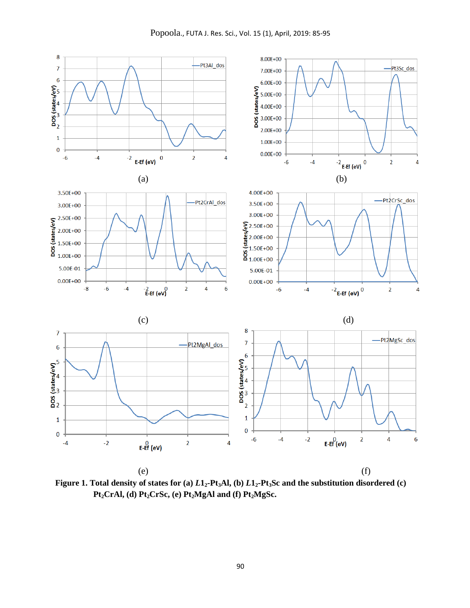

**Figure 1. Total density of states for (a)** *L***12-Pt3Al, (b)** *L***12-Pt3Sc and the substitution disordered (c) Pt2CrAl, (d) Pt2CrSc, (e) Pt2MgAl and (f) Pt2MgSc.**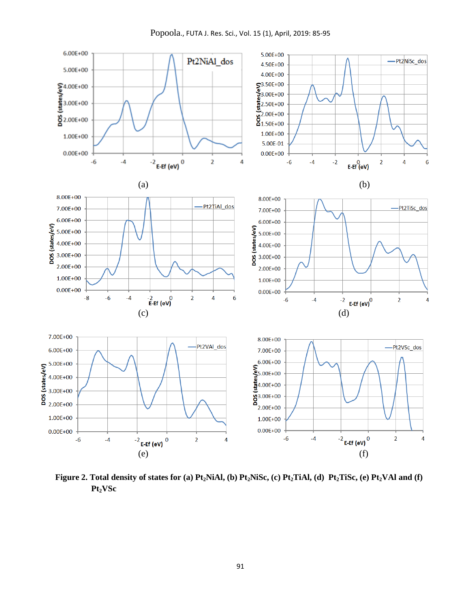

**Figure 2. Total density of states for (a) Pt2NiAl, (b) Pt2NiSc, (c) Pt2TiAl, (d) Pt2TiSc, (e) Pt2VAl and (f) Pt2VSc**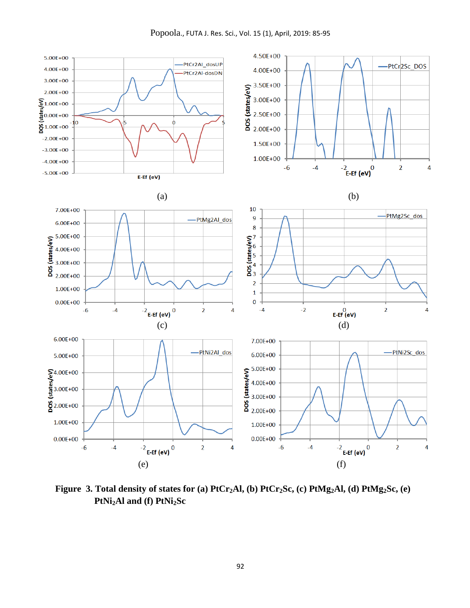

**Figure 3. Total density of states for (a) PtCr2Al, (b) PtCr2Sc, (c) PtMg2Al, (d) PtMg2Sc, (e) PtNi2Al and (f) PtNi2Sc**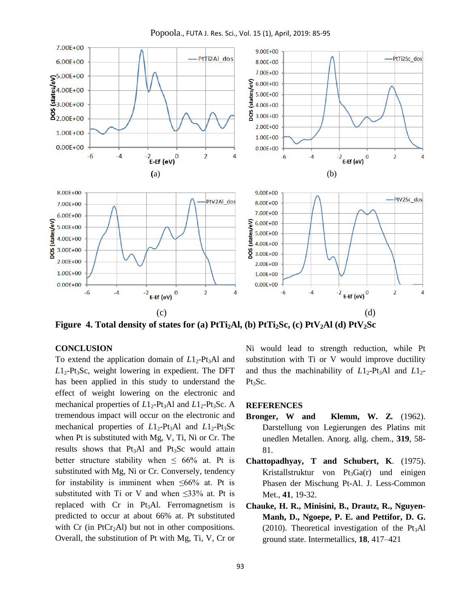

**Figure 4. Total density of states for (a) PtTi2Al, (b) PtTi2Sc, (c) PtV2Al (d) PtV2Sc**

### **CONCLUSION**

To extend the application domain of  $L1_2$ -Pt<sub>3</sub>Al and  $L_1$ -Pt<sub>3</sub>Sc, weight lowering in expedient. The DFT has been applied in this study to understand the effect of weight lowering on the electronic and mechanical properties of  $L1_2$ -Pt<sub>3</sub>Al and  $L1_2$ -Pt<sub>3</sub>Sc. A tremendous impact will occur on the electronic and mechanical properties of  $L1_2$ -Pt<sub>3</sub>Al and  $L1_2$ -Pt<sub>3</sub>Sc when Pt is substituted with Mg, V, Ti, Ni or Cr. The results shows that  $Pt<sub>3</sub>Al$  and  $Pt<sub>3</sub>Sc$  would attain better structure stability when  $\leq 66\%$  at. Pt is substituted with Mg, Ni or Cr. Conversely, tendency for instability is imminent when  $\leq 66\%$  at. Pt is substituted with Ti or V and when  $\leq$ 33% at. Pt is replaced with  $Cr$  in  $Pt<sub>3</sub>Al$ . Ferromagnetism is predicted to occur at about 66% at. Pt substituted with Cr (in PtCr<sub>2</sub>Al) but not in other compositions. Overall, the substitution of Pt with Mg, Ti, V, Cr or

Ni would lead to strength reduction, while Pt substitution with Ti or V would improve ductility and thus the machinability of  $L1_2$ -Pt<sub>3</sub>Al and  $L1_2$ -Pt<sub>3</sub>Sc.

#### **REFERENCES**

- **Bronger, W and Klemm, W. Z***.* (1962). Darstellung von Legierungen des Platins mit unedlen Metallen. Anorg. allg. chem.*,* **319**, 58- 81.
- **Chattopadhyay, T and Schubert, K**. (1975). Kristallstruktur von  $Pt_3Ga(r)$  und einigen Phasen der Mischung Pt-Al. J. Less-Common Met., **41**, 19-32.
- **Chauke, H. R., Minisini, B., Drautz, R., Nguyen-Manh, D., Ngoepe, P. E. and Pettifor, D. G.** (2010). Theoretical investigation of the  $Pt<sub>3</sub>Al$ ground state. Intermetallics, **18**, 417–421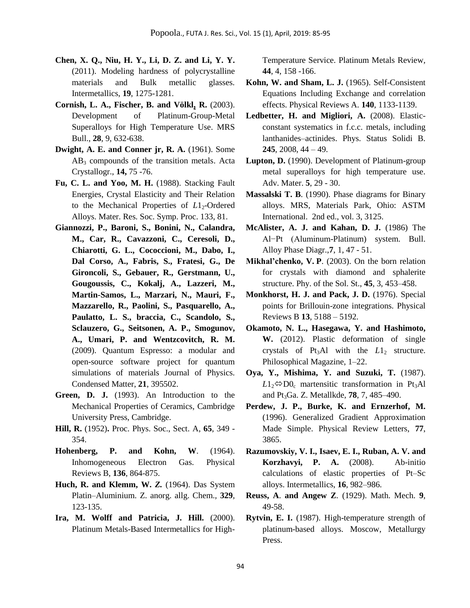- **Chen, X. Q., Niu, H. Y., Li, D. Z. and Li, Y. Y.** (2011). Modeling hardness of polycrystalline materials and Bulk metallic glasses*.* Intermetallics, **19**, 1275-1281.
- **Cornish, L. A., Fischer, B. and [Völkl,](https://www.cambridge.org/core/search?filters%5BauthorTerms%5D=R.%20V%C3%B6lkl&eventCode=SE-AU) R.** (2003). Development of Platinum-Group-Metal Superalloys for High Temperature Use. MRS Bull., **28**, 9, 632-638.
- **Dwight, A. E. and Conner jr, R. A.** (1961). Some  $AB<sub>3</sub>$  compounds of the transition metals. Acta Crystallogr., **14,** 75 -76.
- **Fu, C. L. and Yoo, M. H.** (1988). Stacking Fault Energies, Crystal Elasticity and Their Relation to the Mechanical Properties of  $L_1$ <sub>2</sub>-Ordered Alloys. Mater. Res. Soc. Symp. Proc. 133, 81.
- **Giannozzi, P., Baroni, S., Bonini, N., Calandra, M., Car, R., Cavazzoni, C., Ceresoli, D., Chiarotti, G. L., Cococcioni, M., Dabo, I., Dal Corso, A., Fabris, S., Fratesi, G., De Gironcoli, S., Gebauer, R., Gerstmann, U., Gougoussis, C., Kokalj, A., Lazzeri, M., Martin-Samos, L., Marzari, N., Mauri, F., Mazzarello, R., Paolini, S., Pasquarello, A., Paulatto, L. S., braccia, C., Scandolo, S., Sclauzero, G., Seitsonen, A. P., Smogunov, A., Umari, P. and Wentzcovitch, R. M.** (2009). Quantum Espresso: a modular and open-source software project for quantum simulations of materials Journal of Physics. Condensed Matter, **21**, 395502.
- **Green, D. J.** (1993). An Introduction to the Mechanical Properties of Ceramics, Cambridge University Press, Cambridge.
- **Hill, R.** (1952)**.** Proc. Phys. Soc., Sect. A, **65**, 349 354.
- **Hohenberg, P. and Kohn, W**. (1964). Inhomogeneous Electron Gas. Physical Reviews B, **136**, 864-875.
- **Huch, R. and Klemm, W.** *Z.* (1964). Das System Platin–Aluminium. Z. anorg. allg. Chem.*,* **329**, 123-135.
- **Ira, M. Wolff and Patricia, J. Hill.** (2000). Platinum Metals-Based Intermetallics for High-

Temperature Service. Platinum Metals Review*,*  **44**, 4, 158 -166.

- **Kohn, W. and Sham, L. J.** (1965). Self-Consistent Equations Including Exchange and correlation effects. Physical Reviews A. **140**, 1133-1139.
- **Ledbetter, H. and Migliori, A.** (2008). Elasticconstant systematics in f.c.c. metals, including lanthanides–actinides. Phys. Status Solidi B. **245**, 2008, 44 – 49.
- **Lupton, D.** (1990). Development of Platinum-group metal superalloys for high temperature use. Adv. Mater. **5**, 29 - 30.
- **Massalski T. B**. (1990). Phase diagrams for Binary alloys. MRS, Materials Park, Ohio: ASTM International. 2nd ed., vol. 3, 3125.
- **McAlister, A. J. and Kahan, D. J.** (1986) The Al−Pt (Aluminum-Platinum) system. Bull. Alloy Phase Diagr.,**7**, 1, 47 - 51.
- **Mikhal'chenko, V. P**. (2003). On the born relation for crystals with diamond and sphalerite structure. Phy. of the Sol. St., **45**, 3, 453–458.
- **Monkhorst, H. J. and Pack, J. D.** (1976). Special points for Brillouin-zone integrations. Physical Reviews B **13**, 5188 – 5192.
- **Okamoto, N. L., Hasegawa, Y. and Hashimoto, W.** (2012). Plastic deformation of single crystals of Pt<sub>3</sub>Al with the  $L1_2$  structure. Philosophical Magazine, 1–22.
- **Oya, Y., Mishima, Y. and Suzuki, T.** (1987).  $L1_2 \Leftrightarrow D0_c$  martensitic transformation in Pt<sub>3</sub>Al and Pt3Ga. Z. Metallkde, **78**, 7, 485–490.
- **Perdew, J. P., Burke, K. and Ernzerhof, M.**  (1996). Generalized Gradient Approximation Made Simple. Physical Review Letters, **77**, 3865.
- **Razumovskiy, V. I., Isaev, E. I., Ruban, A. V. and Korzhavyi, P. A.** (2008). Ab-initio calculations of elastic properties of Pt–Sc alloys. Intermetallics, **16**, 982–986.
- **Reuss, A**. **and Angew Z**. (1929). Math. Mech. **9**, 49-58.
- **Rytvin, E. I.** (1987). High-temperature strength of platinum-based alloys. Moscow, Metallurgy Press.